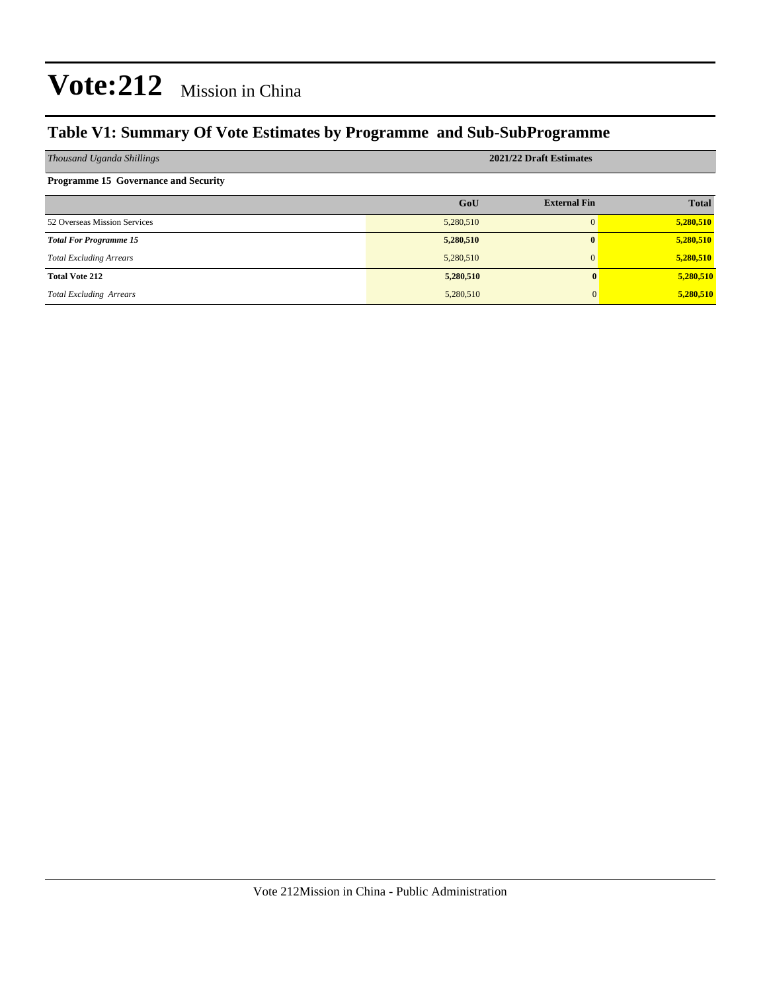### **Table V1: Summary Of Vote Estimates by Programme and Sub-SubProgramme**

| Thousand Uganda Shillings                   | 2021/22 Draft Estimates |                     |              |  |  |  |  |
|---------------------------------------------|-------------------------|---------------------|--------------|--|--|--|--|
| <b>Programme 15 Governance and Security</b> |                         |                     |              |  |  |  |  |
|                                             | GoU                     | <b>External Fin</b> | <b>Total</b> |  |  |  |  |
| 52 Overseas Mission Services                | 5,280,510               | $\Omega$            | 5,280,510    |  |  |  |  |
| <b>Total For Programme 15</b>               | 5,280,510               | $\mathbf{0}$        | 5,280,510    |  |  |  |  |
| <b>Total Excluding Arrears</b>              | 5,280,510               | $\Omega$            | 5,280,510    |  |  |  |  |
| <b>Total Vote 212</b>                       | 5,280,510               |                     | 5,280,510    |  |  |  |  |
| <b>Total Excluding Arrears</b>              | 5,280,510               |                     | 5,280,510    |  |  |  |  |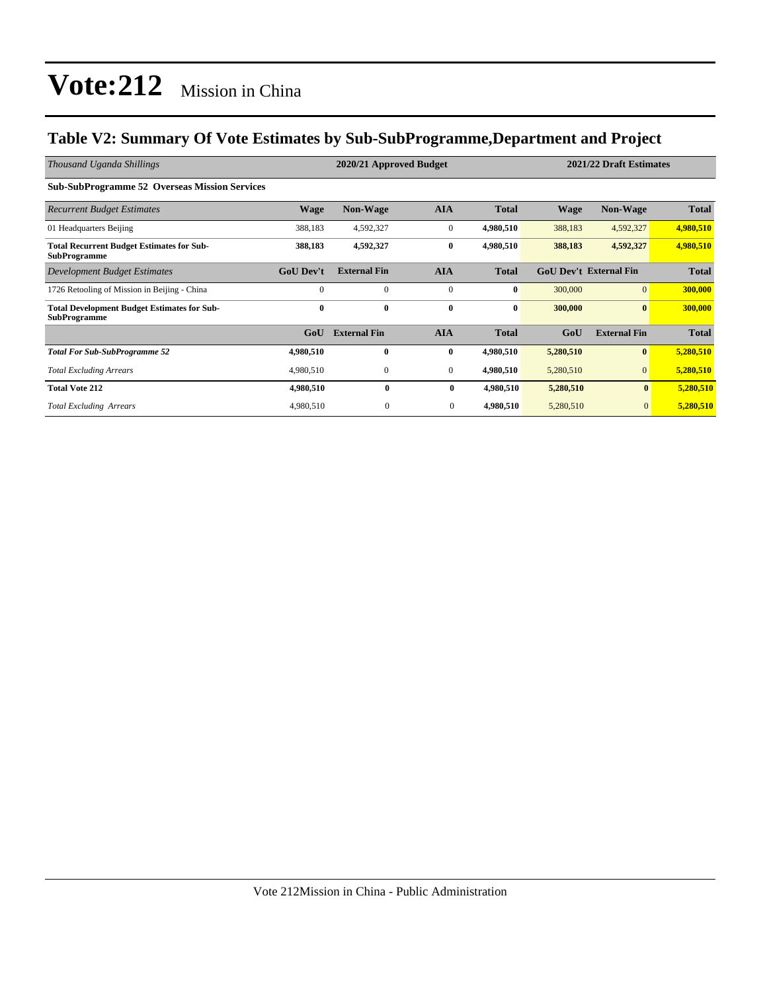### **Table V2: Summary Of Vote Estimates by Sub-SubProgramme,Department and Project**

| Thousand Uganda Shillings                                                 |                  | 2020/21 Approved Budget |                  |              | 2021/22 Draft Estimates |                               |              |
|---------------------------------------------------------------------------|------------------|-------------------------|------------------|--------------|-------------------------|-------------------------------|--------------|
| <b>Sub-SubProgramme 52 Overseas Mission Services</b>                      |                  |                         |                  |              |                         |                               |              |
| <b>Recurrent Budget Estimates</b>                                         | Wage             | <b>Non-Wage</b>         | <b>AIA</b>       | <b>Total</b> | <b>Wage</b>             | <b>Non-Wage</b>               | <b>Total</b> |
| 01 Headquarters Beijing                                                   | 388,183          | 4,592,327               | $\mathbf{0}$     | 4,980,510    | 388,183                 | 4,592,327                     | 4,980,510    |
| <b>Total Recurrent Budget Estimates for Sub-</b><br><b>SubProgramme</b>   | 388,183          | 4,592,327               | $\bf{0}$         | 4,980,510    | 388,183                 | 4,592,327                     | 4,980,510    |
| Development Budget Estimates                                              | <b>GoU Dev't</b> | <b>External Fin</b>     | <b>AIA</b>       | <b>Total</b> |                         | <b>GoU Dev't External Fin</b> | <b>Total</b> |
| 1726 Retooling of Mission in Beijing - China                              | $\Omega$         | $\Omega$                | $\mathbf{0}$     | $\bf{0}$     | 300,000                 | $\overline{0}$                | 300,000      |
| <b>Total Development Budget Estimates for Sub-</b><br><b>SubProgramme</b> | $\bf{0}$         | $\bf{0}$                | $\bf{0}$         | $\bf{0}$     | 300,000                 | $\bf{0}$                      | 300,000      |
|                                                                           | GoU              | <b>External Fin</b>     | <b>AIA</b>       | <b>Total</b> | GoU                     | <b>External Fin</b>           | <b>Total</b> |
| <b>Total For Sub-SubProgramme 52</b>                                      | 4,980,510        | $\mathbf{0}$            | $\bf{0}$         | 4,980,510    | 5,280,510               | $\bf{0}$                      | 5,280,510    |
| <b>Total Excluding Arrears</b>                                            | 4,980,510        | $\mathbf{0}$            | $\boldsymbol{0}$ | 4,980,510    | 5,280,510               | $\overline{0}$                | 5,280,510    |
| <b>Total Vote 212</b>                                                     | 4,980,510        | $\mathbf{0}$            | $\bf{0}$         | 4,980,510    | 5,280,510               | $\bf{0}$                      | 5,280,510    |
| <b>Total Excluding Arrears</b>                                            | 4,980,510        | $\boldsymbol{0}$        | $\mathbf{0}$     | 4,980,510    | 5,280,510               | $\mathbf{0}$                  | 5,280,510    |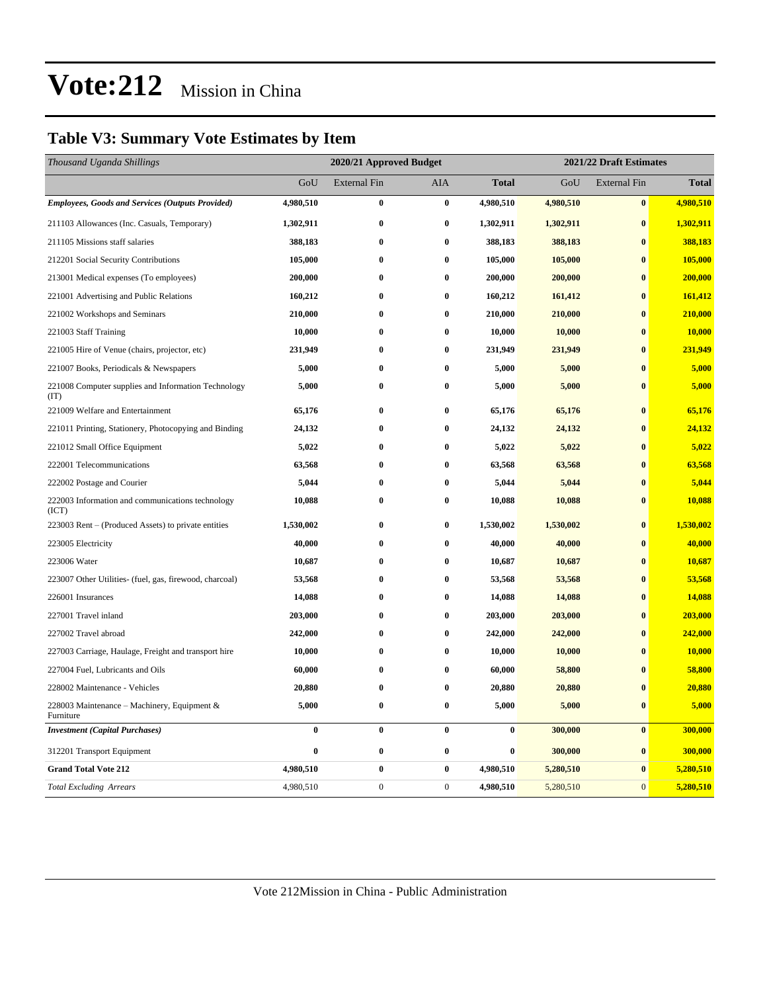### **Table V3: Summary Vote Estimates by Item**

| Thousand Uganda Shillings                                   |           | 2020/21 Approved Budget |                  |              |           | 2021/22 Draft Estimates |              |  |  |
|-------------------------------------------------------------|-----------|-------------------------|------------------|--------------|-----------|-------------------------|--------------|--|--|
|                                                             | GoU       | <b>External Fin</b>     | <b>AIA</b>       | <b>Total</b> | GoU       | <b>External Fin</b>     | <b>Total</b> |  |  |
| <b>Employees, Goods and Services (Outputs Provided)</b>     | 4,980,510 | $\bf{0}$                | $\bf{0}$         | 4,980,510    | 4,980,510 | $\bf{0}$                | 4,980,510    |  |  |
| 211103 Allowances (Inc. Casuals, Temporary)                 | 1,302,911 | $\bf{0}$                | $\bf{0}$         | 1,302,911    | 1,302,911 | $\bf{0}$                | 1,302,911    |  |  |
| 211105 Missions staff salaries                              | 388,183   | $\bf{0}$                | $\bf{0}$         | 388,183      | 388,183   | $\bf{0}$                | 388,183      |  |  |
| 212201 Social Security Contributions                        | 105,000   | $\bf{0}$                | $\bf{0}$         | 105,000      | 105,000   | $\bf{0}$                | 105,000      |  |  |
| 213001 Medical expenses (To employees)                      | 200,000   | $\bf{0}$                | $\bf{0}$         | 200,000      | 200,000   | $\bf{0}$                | 200,000      |  |  |
| 221001 Advertising and Public Relations                     | 160,212   | $\bf{0}$                | $\bf{0}$         | 160,212      | 161,412   | $\bf{0}$                | 161,412      |  |  |
| 221002 Workshops and Seminars                               | 210,000   | $\bf{0}$                | $\bf{0}$         | 210,000      | 210,000   | $\bf{0}$                | 210,000      |  |  |
| 221003 Staff Training                                       | 10,000    | $\bf{0}$                | $\bf{0}$         | 10,000       | 10,000    | $\bf{0}$                | 10,000       |  |  |
| 221005 Hire of Venue (chairs, projector, etc)               | 231,949   | $\bf{0}$                | $\bf{0}$         | 231,949      | 231,949   | $\bf{0}$                | 231,949      |  |  |
| 221007 Books, Periodicals & Newspapers                      | 5,000     | $\bf{0}$                | $\bf{0}$         | 5,000        | 5,000     | $\bf{0}$                | 5,000        |  |  |
| 221008 Computer supplies and Information Technology<br>(TT) | 5,000     | $\bf{0}$                | $\bf{0}$         | 5,000        | 5,000     | $\bf{0}$                | 5,000        |  |  |
| 221009 Welfare and Entertainment                            | 65,176    | $\bf{0}$                | $\bf{0}$         | 65,176       | 65,176    | $\bf{0}$                | 65,176       |  |  |
| 221011 Printing, Stationery, Photocopying and Binding       | 24,132    | $\bf{0}$                | $\bf{0}$         | 24,132       | 24,132    | $\bf{0}$                | 24,132       |  |  |
| 221012 Small Office Equipment                               | 5,022     | $\bf{0}$                | $\bf{0}$         | 5,022        | 5,022     | $\bf{0}$                | 5,022        |  |  |
| 222001 Telecommunications                                   | 63,568    | $\bf{0}$                | 0                | 63,568       | 63,568    | $\mathbf{0}$            | 63,568       |  |  |
| 222002 Postage and Courier                                  | 5,044     | $\bf{0}$                | $\bf{0}$         | 5,044        | 5,044     | $\mathbf{0}$            | 5,044        |  |  |
| 222003 Information and communications technology<br>(ICT)   | 10,088    | $\bf{0}$                | $\bf{0}$         | 10,088       | 10,088    | $\bf{0}$                | 10,088       |  |  |
| 223003 Rent – (Produced Assets) to private entities         | 1,530,002 | $\bf{0}$                | $\bf{0}$         | 1,530,002    | 1,530,002 | $\bf{0}$                | 1,530,002    |  |  |
| 223005 Electricity                                          | 40,000    | $\bf{0}$                | $\bf{0}$         | 40,000       | 40,000    | $\bf{0}$                | 40,000       |  |  |
| 223006 Water                                                | 10,687    | $\bf{0}$                | $\bf{0}$         | 10,687       | 10,687    | $\bf{0}$                | 10,687       |  |  |
| 223007 Other Utilities- (fuel, gas, firewood, charcoal)     | 53,568    | $\bf{0}$                | $\bf{0}$         | 53,568       | 53,568    | $\bf{0}$                | 53,568       |  |  |
| 226001 Insurances                                           | 14,088    | $\bf{0}$                | $\bf{0}$         | 14,088       | 14,088    | $\bf{0}$                | 14,088       |  |  |
| 227001 Travel inland                                        | 203,000   | $\bf{0}$                | $\bf{0}$         | 203,000      | 203,000   | $\bf{0}$                | 203,000      |  |  |
| 227002 Travel abroad                                        | 242,000   | $\bf{0}$                | $\bf{0}$         | 242,000      | 242,000   | $\bf{0}$                | 242,000      |  |  |
| 227003 Carriage, Haulage, Freight and transport hire        | 10,000    | $\bf{0}$                | $\bf{0}$         | 10,000       | 10,000    | $\bf{0}$                | 10,000       |  |  |
| 227004 Fuel, Lubricants and Oils                            | 60,000    | $\bf{0}$                | $\bf{0}$         | 60,000       | 58,800    | $\bf{0}$                | 58,800       |  |  |
| 228002 Maintenance - Vehicles                               | 20,880    | $\bf{0}$                | $\bf{0}$         | 20,880       | 20,880    | $\bf{0}$                | 20,880       |  |  |
| 228003 Maintenance – Machinery, Equipment &<br>Furniture    | 5,000     | $\pmb{0}$               | $\bf{0}$         | 5,000        | 5,000     | $\bf{0}$                | 5,000        |  |  |
| <b>Investment</b> (Capital Purchases)                       | $\bf{0}$  | $\bf{0}$                | $\bf{0}$         | $\bf{0}$     | 300,000   | $\mathbf{0}$            | 300,000      |  |  |
| 312201 Transport Equipment                                  | $\bf{0}$  | $\pmb{0}$               | $\bf{0}$         | $\bf{0}$     | 300,000   | $\bf{0}$                | 300,000      |  |  |
| <b>Grand Total Vote 212</b>                                 | 4,980,510 | $\pmb{0}$               | $\bf{0}$         | 4,980,510    | 5,280,510 | $\bf{0}$                | 5,280,510    |  |  |
| <b>Total Excluding Arrears</b>                              | 4,980,510 | $\boldsymbol{0}$        | $\boldsymbol{0}$ | 4,980,510    | 5,280,510 | $\mathbf{0}$            | 5,280,510    |  |  |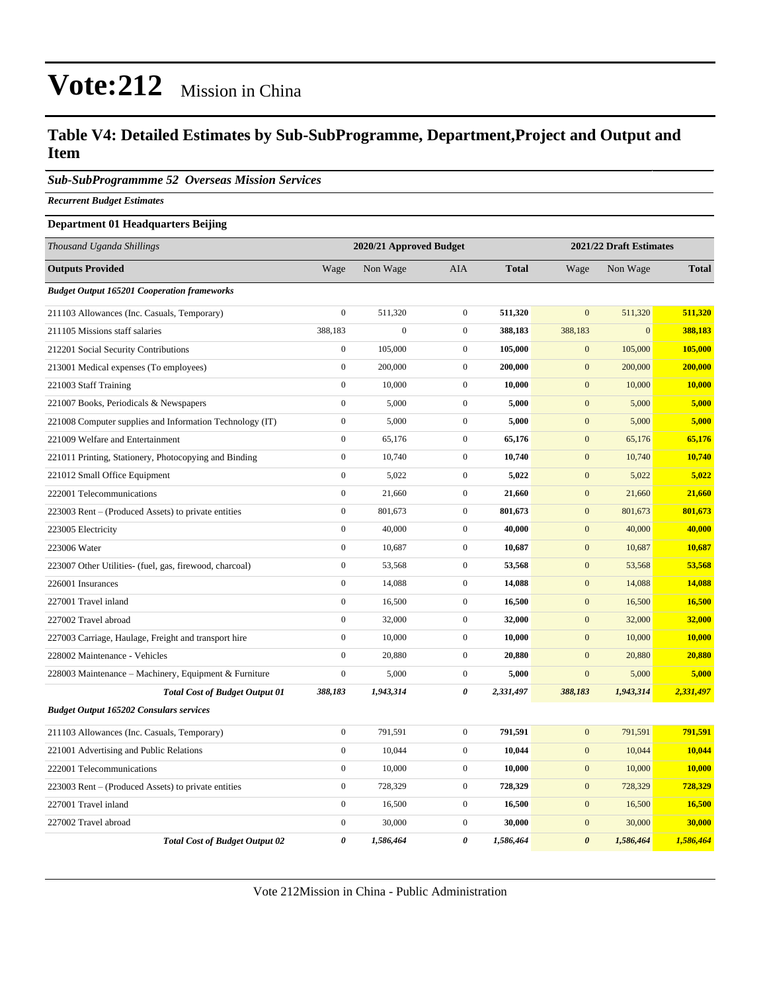#### **Table V4: Detailed Estimates by Sub-SubProgramme, Department,Project and Output and Item**

*Sub-SubProgrammme 52 Overseas Mission Services*

*Recurrent Budget Estimates*

#### **Department 01 Headquarters Beijing**

| Thousand Uganda Shillings                                |                       | 2020/21 Approved Budget |                  |              | 2021/22 Draft Estimates |              |               |
|----------------------------------------------------------|-----------------------|-------------------------|------------------|--------------|-------------------------|--------------|---------------|
| <b>Outputs Provided</b>                                  | Wage                  | Non Wage                | AIA              | <b>Total</b> | Wage                    | Non Wage     | <b>Total</b>  |
| <b>Budget Output 165201 Cooperation frameworks</b>       |                       |                         |                  |              |                         |              |               |
| 211103 Allowances (Inc. Casuals, Temporary)              | $\boldsymbol{0}$      | 511,320                 | $\mathbf{0}$     | 511,320      | $\overline{0}$          | 511,320      | 511,320       |
| 211105 Missions staff salaries                           | 388,183               | $\boldsymbol{0}$        | $\mathbf{0}$     | 388,183      | 388,183                 | $\mathbf{0}$ | 388,183       |
| 212201 Social Security Contributions                     | $\boldsymbol{0}$      | 105,000                 | $\mathbf{0}$     | 105,000      | $\mathbf{0}$            | 105,000      | 105,000       |
| 213001 Medical expenses (To employees)                   | $\boldsymbol{0}$      | 200,000                 | $\boldsymbol{0}$ | 200,000      | $\boldsymbol{0}$        | 200,000      | 200,000       |
| 221003 Staff Training                                    | $\boldsymbol{0}$      | 10,000                  | $\mathbf{0}$     | 10,000       | $\mathbf{0}$            | 10,000       | <b>10,000</b> |
| 221007 Books, Periodicals & Newspapers                   | $\boldsymbol{0}$      | 5,000                   | $\mathbf{0}$     | 5,000        | $\mathbf{0}$            | 5,000        | 5,000         |
| 221008 Computer supplies and Information Technology (IT) | $\boldsymbol{0}$      | 5,000                   | $\mathbf{0}$     | 5,000        | $\mathbf{0}$            | 5,000        | 5,000         |
| 221009 Welfare and Entertainment                         | $\mathbf{0}$          | 65,176                  | $\mathbf{0}$     | 65,176       | $\mathbf{0}$            | 65,176       | 65,176        |
| 221011 Printing, Stationery, Photocopying and Binding    | $\mathbf{0}$          | 10,740                  | $\mathbf{0}$     | 10,740       | $\boldsymbol{0}$        | 10,740       | 10,740        |
| 221012 Small Office Equipment                            | $\boldsymbol{0}$      | 5,022                   | $\mathbf{0}$     | 5,022        | $\mathbf{0}$            | 5,022        | 5,022         |
| 222001 Telecommunications                                | $\boldsymbol{0}$      | 21,660                  | $\mathbf{0}$     | 21,660       | $\mathbf{0}$            | 21,660       | 21,660        |
| 223003 Rent – (Produced Assets) to private entities      | $\boldsymbol{0}$      | 801,673                 | $\mathbf{0}$     | 801,673      | $\mathbf{0}$            | 801,673      | 801,673       |
| 223005 Electricity                                       | $\boldsymbol{0}$      | 40,000                  | $\mathbf{0}$     | 40,000       | $\mathbf{0}$            | 40,000       | 40,000        |
| 223006 Water                                             | $\boldsymbol{0}$      | 10,687                  | $\boldsymbol{0}$ | 10,687       | $\mathbf{0}$            | 10,687       | 10,687        |
| 223007 Other Utilities- (fuel, gas, firewood, charcoal)  | $\boldsymbol{0}$      | 53,568                  | $\boldsymbol{0}$ | 53,568       | $\boldsymbol{0}$        | 53,568       | 53,568        |
| 226001 Insurances                                        | $\boldsymbol{0}$      | 14,088                  | $\boldsymbol{0}$ | 14,088       | $\boldsymbol{0}$        | 14,088       | 14,088        |
| 227001 Travel inland                                     | $\boldsymbol{0}$      | 16,500                  | $\mathbf 0$      | 16,500       | $\mathbf{0}$            | 16,500       | 16,500        |
| 227002 Travel abroad                                     | $\boldsymbol{0}$      | 32,000                  | $\mathbf{0}$     | 32,000       | $\mathbf{0}$            | 32,000       | 32,000        |
| 227003 Carriage, Haulage, Freight and transport hire     | $\mathbf{0}$          | 10,000                  | $\mathbf{0}$     | 10,000       | $\mathbf{0}$            | 10,000       | 10,000        |
| 228002 Maintenance - Vehicles                            | $\mathbf{0}$          | 20,880                  | $\mathbf{0}$     | 20,880       | $\mathbf{0}$            | 20,880       | 20,880        |
| 228003 Maintenance - Machinery, Equipment & Furniture    | $\boldsymbol{0}$      | 5,000                   | $\boldsymbol{0}$ | 5,000        | $\boldsymbol{0}$        | 5,000        | 5,000         |
| <b>Total Cost of Budget Output 01</b>                    | 388,183               | 1,943,314               | 0                | 2,331,497    | 388,183                 | 1,943,314    | 2,331,497     |
| <b>Budget Output 165202 Consulars services</b>           |                       |                         |                  |              |                         |              |               |
| 211103 Allowances (Inc. Casuals, Temporary)              | $\boldsymbol{0}$      | 791,591                 | $\mathbf 0$      | 791,591      | $\mathbf{0}$            | 791,591      | 791,591       |
| 221001 Advertising and Public Relations                  | $\boldsymbol{0}$      | 10,044                  | $\mathbf{0}$     | 10,044       | $\mathbf{0}$            | 10,044       | 10,044        |
| 222001 Telecommunications                                | $\boldsymbol{0}$      | 10,000                  | $\mathbf{0}$     | 10,000       | $\mathbf{0}$            | 10,000       | 10,000        |
| 223003 Rent – (Produced Assets) to private entities      | $\boldsymbol{0}$      | 728,329                 | $\mathbf{0}$     | 728,329      | $\overline{0}$          | 728,329      | 728,329       |
| 227001 Travel inland                                     | $\mathbf{0}$          | 16,500                  | $\boldsymbol{0}$ | 16,500       | $\overline{0}$          | 16,500       | 16,500        |
| 227002 Travel abroad                                     | $\boldsymbol{0}$      | 30,000                  | $\mathbf{0}$     | 30,000       | $\mathbf{0}$            | 30,000       | 30,000        |
| <b>Total Cost of Budget Output 02</b>                    | $\boldsymbol{\theta}$ | 1,586,464               | 0                | 1,586,464    | $\boldsymbol{\theta}$   | 1,586,464    | 1,586,464     |

Vote 212Mission in China - Public Administration